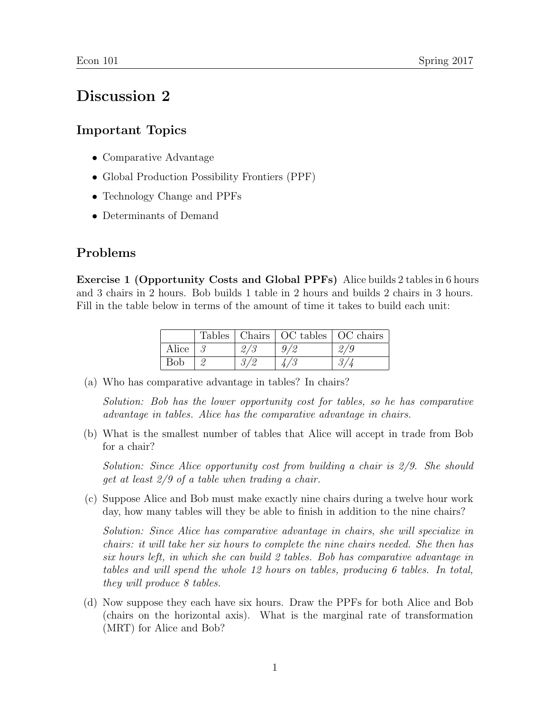## Discussion 2

## Important Topics

- Comparative Advantage
- Global Production Possibility Frontiers (PPF)
- Technology Change and PPFs
- Determinants of Demand

## Problems

Exercise 1 (Opportunity Costs and Global PPFs) Alice builds 2 tables in 6 hours and 3 chairs in 2 hours. Bob builds 1 table in 2 hours and builds 2 chairs in 3 hours. Fill in the table below in terms of the amount of time it takes to build each unit:

|       |     | Tables   Chairs   OC tables   OC chairs |     |
|-------|-----|-----------------------------------------|-----|
| Alice | 2/3 |                                         | 2/9 |
| Bob   | 9/0 |                                         | Ω.  |

(a) Who has comparative advantage in tables? In chairs?

Solution: Bob has the lower opportunity cost for tables, so he has comparative advantage in tables. Alice has the comparative advantage in chairs.

(b) What is the smallest number of tables that Alice will accept in trade from Bob for a chair?

Solution: Since Alice opportunity cost from building a chair is 2/9. She should get at least 2/9 of a table when trading a chair.

(c) Suppose Alice and Bob must make exactly nine chairs during a twelve hour work day, how many tables will they be able to finish in addition to the nine chairs?

Solution: Since Alice has comparative advantage in chairs, she will specialize in chairs: it will take her six hours to complete the nine chairs needed. She then has six hours left, in which she can build 2 tables. Bob has comparative advantage in tables and will spend the whole 12 hours on tables, producing 6 tables. In total, they will produce 8 tables.

(d) Now suppose they each have six hours. Draw the PPFs for both Alice and Bob (chairs on the horizontal axis). What is the marginal rate of transformation (MRT) for Alice and Bob?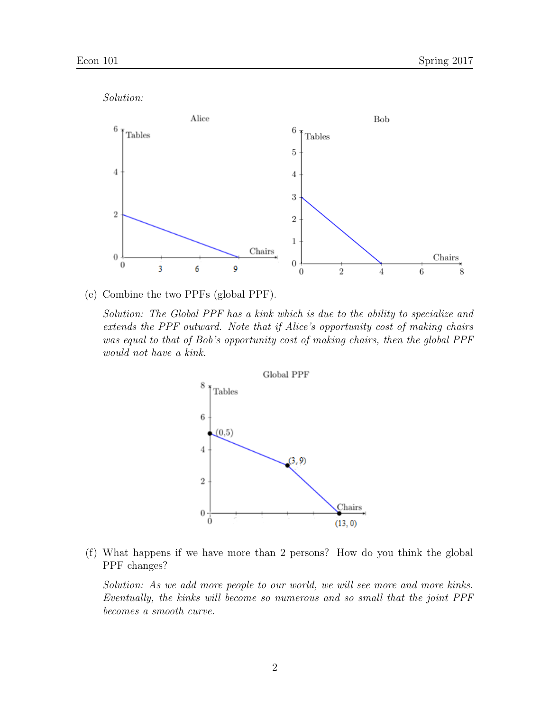

(e) Combine the two PPFs (global PPF).

Solution: The Global PPF has a kink which is due to the ability to specialize and extends the PPF outward. Note that if Alice's opportunity cost of making chairs was equal to that of Bob's opportunity cost of making chairs, then the global PPF would not have a kink.



(f) What happens if we have more than 2 persons? How do you think the global PPF changes?

Solution: As we add more people to our world, we will see more and more kinks. Eventually, the kinks will become so numerous and so small that the joint PPF becomes a smooth curve.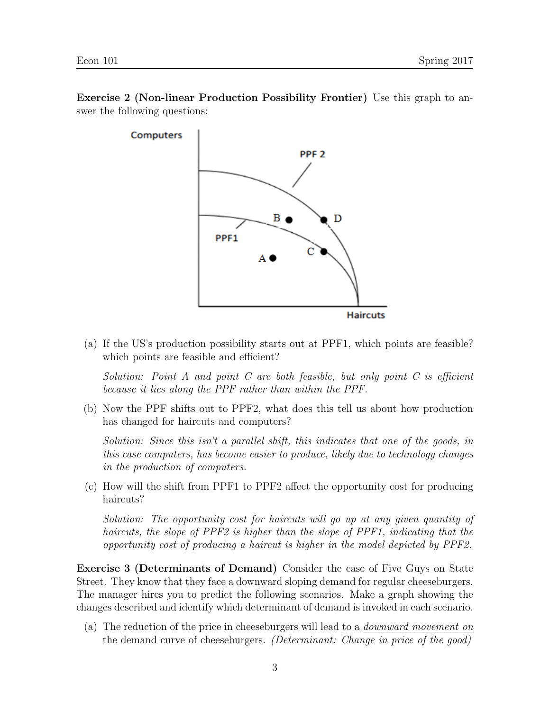

Exercise 2 (Non-linear Production Possibility Frontier) Use this graph to answer the following questions:

(a) If the US's production possibility starts out at PPF1, which points are feasible? which points are feasible and efficient?

Solution: Point A and point C are both feasible, but only point C is efficient because it lies along the PPF rather than within the PPF.

(b) Now the PPF shifts out to PPF2, what does this tell us about how production has changed for haircuts and computers?

Solution: Since this isn't a parallel shift, this indicates that one of the goods, in this case computers, has become easier to produce, likely due to technology changes in the production of computers.

(c) How will the shift from PPF1 to PPF2 affect the opportunity cost for producing haircuts?

Solution: The opportunity cost for haircuts will go up at any given quantity of haircuts, the slope of PPF2 is higher than the slope of PPF1, indicating that the opportunity cost of producing a haircut is higher in the model depicted by PPF2.

Exercise 3 (Determinants of Demand) Consider the case of Five Guys on State Street. They know that they face a downward sloping demand for regular cheeseburgers. The manager hires you to predict the following scenarios. Make a graph showing the changes described and identify which determinant of demand is invoked in each scenario.

(a) The reduction of the price in cheeseburgers will lead to a downward movement on the demand curve of cheeseburgers. (Determinant: Change in price of the good)